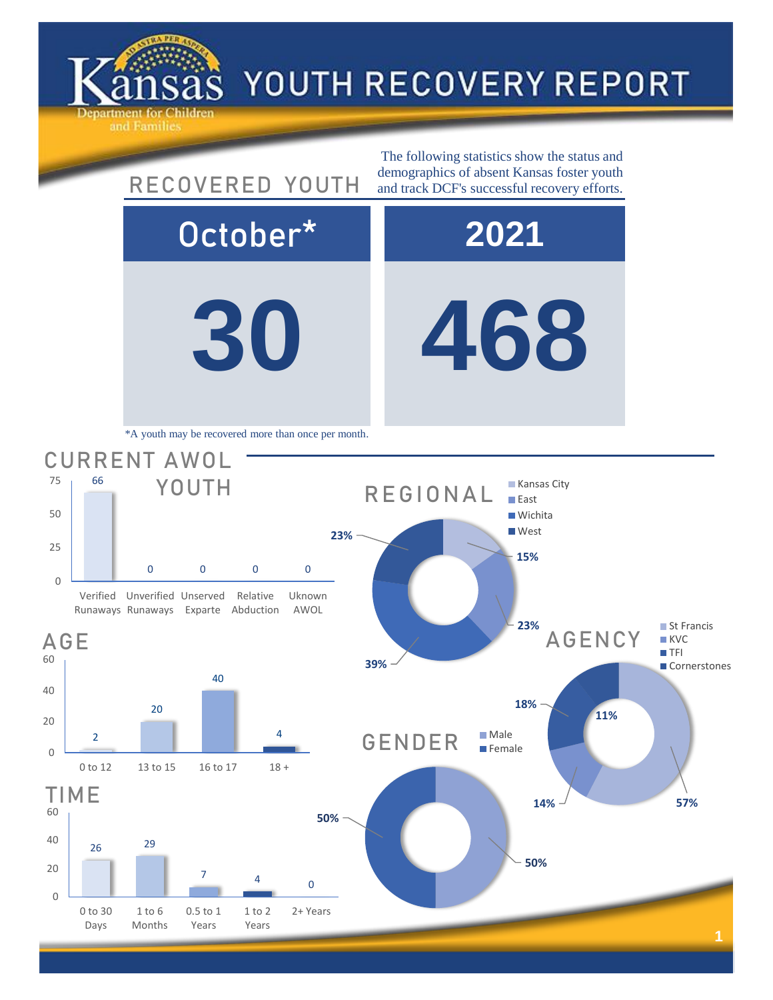

0

20

40

60

0

20

40

60

0

25

50

75

## YOUTH RECOVERY REPORT

**30 468** October\* **2021** 26 29  $7$  4 0 0 to 30 Days 1 to 6 Months 0.5 to 1 Years 1 to 2 Years 2+ Years TIME **50% 50%** GENDER Male **Female 14% 57% 18% 11%** AGENCY ■ St Francis **KVC TFI Cornerstones** 2 20 40 4 0 to 12 13 to 15 16 to 17 18 + AGE 66 0 0 0 0 Verified Unverified Unserved Runaways Runaways Exparte Abduction Relative Uknown AWOL CURRENT AWOL YOUTH The following statistics show the status and RECOVERED YOUTH demographics of absent Kansas foster youth and track DCF's successful recovery efforts. \*A youth may be recovered more than once per month. **15% 23% 39% 23%** REGIONAL **Kansas City East Wichita West**